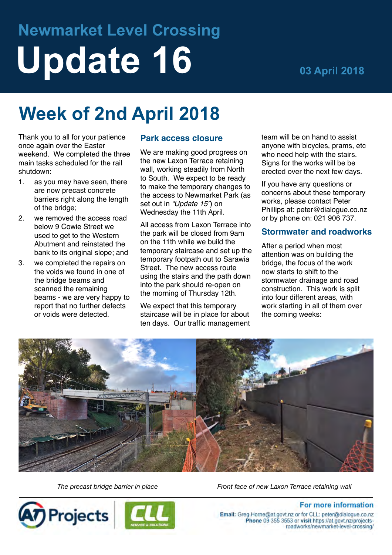# **Newmarket Level Crossing Update 16 03 April 2018**

# **Week of 2nd April 2018**

Thank you to all for your patience once again over the Easter weekend. We completed the three main tasks scheduled for the rail shutdown:

- 1. as you may have seen, there are now precast concrete barriers right along the length of the bridge;
- 2. we removed the access road below 9 Cowie Street we used to get to the Western Abutment and reinstated the bank to its original slope; and
- 3. we completed the repairs on the voids we found in one of the bridge beams and scanned the remaining beams - we are very happy to report that no further defects or voids were detected.

## **Park access closure**

We are making good progress on the new Laxon Terrace retaining wall, working steadily from North to South. We expect to be ready to make the temporary changes to the access to Newmarket Park (as set out in *"Update 15"*) on Wednesday the 11th April.

All access from Laxon Terrace into the park will be closed from 9am on the 11th while we build the temporary staircase and set up the temporary footpath out to Sarawia Street. The new access route using the stairs and the path down into the park should re-open on the morning of Thursday 12th.

We expect that this temporary staircase will be in place for about ten days. Our traffic management team will be on hand to assist anyone with bicycles, prams, etc who need help with the stairs. Signs for the works will be be erected over the next few days.

If you have any questions or concerns about these temporary works, please contact Peter Phillips at: peter@dialogue.co.nz or by phone on: 021 906 737.

#### **Stormwater and roadworks**

After a period when most attention was on building the bridge, the focus of the work now starts to shift to the stormwater drainage and road construction. This work is split into four different areas, with work starting in all of them over the coming weeks:



*The precast bridge barrier in place Front face of new Laxon Terrace retaining wall*